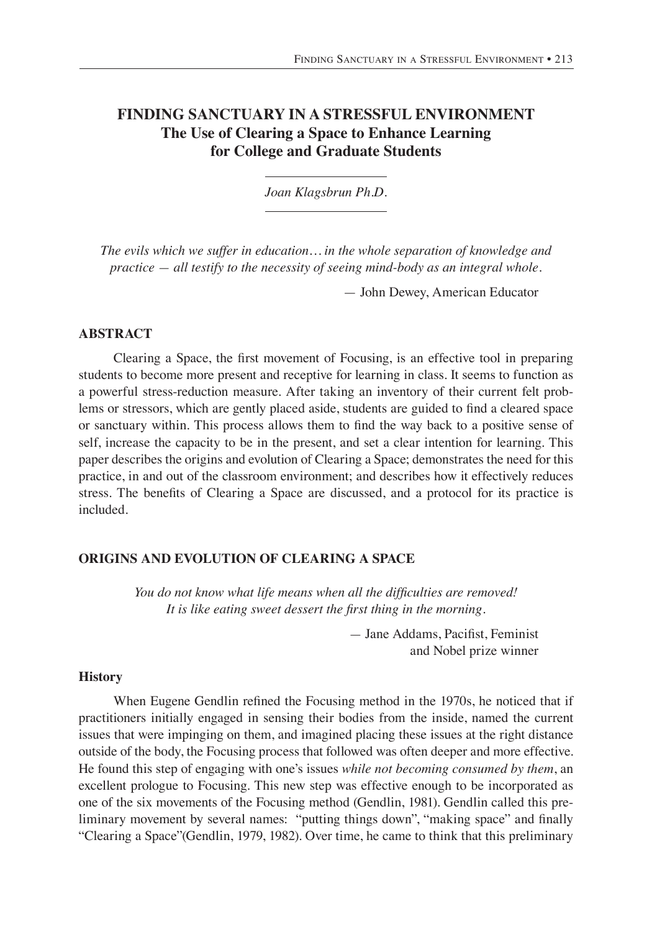# **FINDING SANCTUARY IN A STRESSFUL ENVIRONMENT The Use of Clearing a Space to Enhance Learning for College and Graduate Students**

*Joan Klagsbrun Ph.D.*

*The evils which we suffer in education… in the whole separation of knowledge and practice — all testify to the necessity of seeing mind-body as an integral whole.*

— John Dewey, American Educator

## **ABSTRACT**

Clearing a Space, the first movement of Focusing, is an effective tool in preparing students to become more present and receptive for learning in class. It seems to function as a powerful stress-reduction measure. After taking an inventory of their current felt problems or stressors, which are gently placed aside, students are guided to find a cleared space or sanctuary within. This process allows them to find the way back to a positive sense of self, increase the capacity to be in the present, and set a clear intention for learning. This paper describes the origins and evolution of Clearing a Space; demonstrates the need for this practice, in and out of the classroom environment; and describes how it effectively reduces stress. The benefits of Clearing a Space are discussed, and a protocol for its practice is included.

## **Origins and Evolution of Clearing a Space**

*You do not know what life means when all the difficulties are removed! It is like eating sweet dessert the first thing in the morning.*

> — Jane Addams, Pacifist, Feminist and Nobel prize winner

## **History**

When Eugene Gendlin refined the Focusing method in the 1970s, he noticed that if practitioners initially engaged in sensing their bodies from the inside, named the current issues that were impinging on them, and imagined placing these issues at the right distance outside of the body, the Focusing process that followed was often deeper and more effective. He found this step of engaging with one's issues *while not becoming consumed by them*, an excellent prologue to Focusing. This new step was effective enough to be incorporated as one of the six movements of the Focusing method (Gendlin, 1981). Gendlin called this preliminary movement by several names: "putting things down", "making space" and finally "Clearing a Space"(Gendlin, 1979, 1982). Over time, he came to think that this preliminary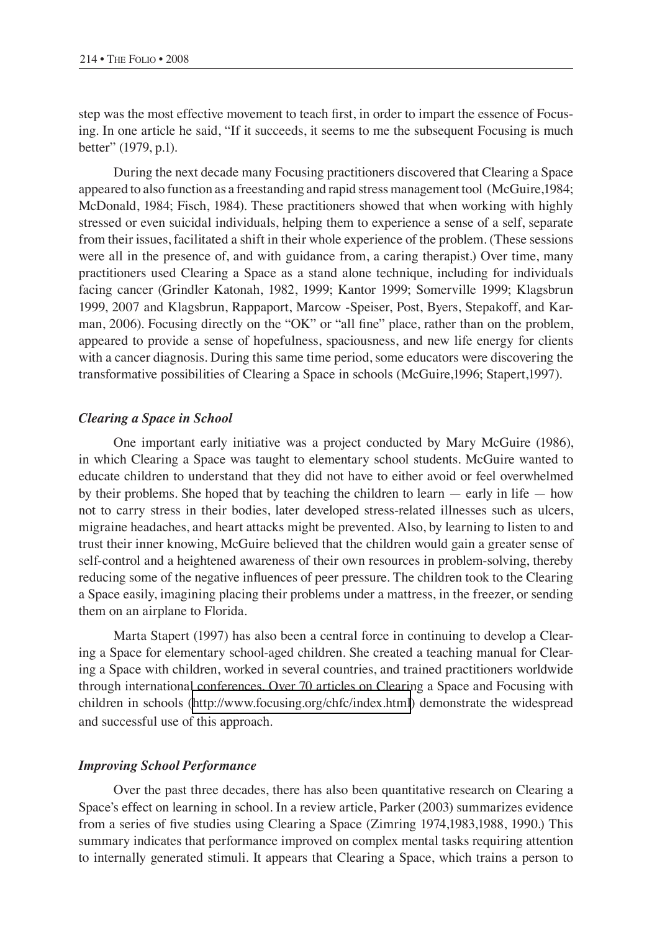step was the most effective movement to teach first, in order to impart the essence of Focusing. In one article he said, "If it succeeds, it seems to me the subsequent Focusing is much better" (1979, p.1).

During the next decade many Focusing practitioners discovered that Clearing a Space appeared to also function as a freestanding and rapid stress management tool (McGuire,1984; McDonald, 1984; Fisch, 1984). These practitioners showed that when working with highly stressed or even suicidal individuals, helping them to experience a sense of a self, separate from their issues, facilitated a shift in their whole experience of the problem. (These sessions were all in the presence of, and with guidance from, a caring therapist.) Over time, many practitioners used Clearing a Space as a stand alone technique, including for individuals facing cancer (Grindler Katonah, 1982, 1999; Kantor 1999; Somerville 1999; Klagsbrun 1999, 2007 and Klagsbrun, Rappaport, Marcow -Speiser, Post, Byers, Stepakoff, and Karman, 2006). Focusing directly on the "OK" or "all fine" place, rather than on the problem, appeared to provide a sense of hopefulness, spaciousness, and new life energy for clients with a cancer diagnosis. During this same time period, some educators were discovering the transformative possibilities of Clearing a Space in schools (McGuire,1996; Stapert,1997).

#### *Clearing a Space in School*

One important early initiative was a project conducted by Mary McGuire (1986), in which Clearing a Space was taught to elementary school students. McGuire wanted to educate children to understand that they did not have to either avoid or feel overwhelmed by their problems. She hoped that by teaching the children to learn — early in life — how not to carry stress in their bodies, later developed stress-related illnesses such as ulcers, migraine headaches, and heart attacks might be prevented. Also, by learning to listen to and trust their inner knowing, McGuire believed that the children would gain a greater sense of self-control and a heightened awareness of their own resources in problem-solving, thereby reducing some of the negative influences of peer pressure. The children took to the Clearing a Space easily, imagining placing their problems under a mattress, in the freezer, or sending them on an airplane to Florida.

Marta Stapert (1997) has also been a central force in continuing to develop a Clearing a Space for elementary school-aged children. She created a teaching manual for Clearing a Space with children, worked in several countries, and trained practitioners worldwide through international conferences. Over 70 articles on Clearing a Space and Focusing with children in schools (<http://www.focusing.org/chfc/index.html>) demonstrate the widespread and successful use of this approach.

#### *Improving School Performance*

Over the past three decades, there has also been quantitative research on Clearing a Space's effect on learning in school. In a review article, Parker (2003) summarizes evidence from a series of five studies using Clearing a Space (Zimring 1974,1983,1988, 1990.) This summary indicates that performance improved on complex mental tasks requiring attention to internally generated stimuli. It appears that Clearing a Space, which trains a person to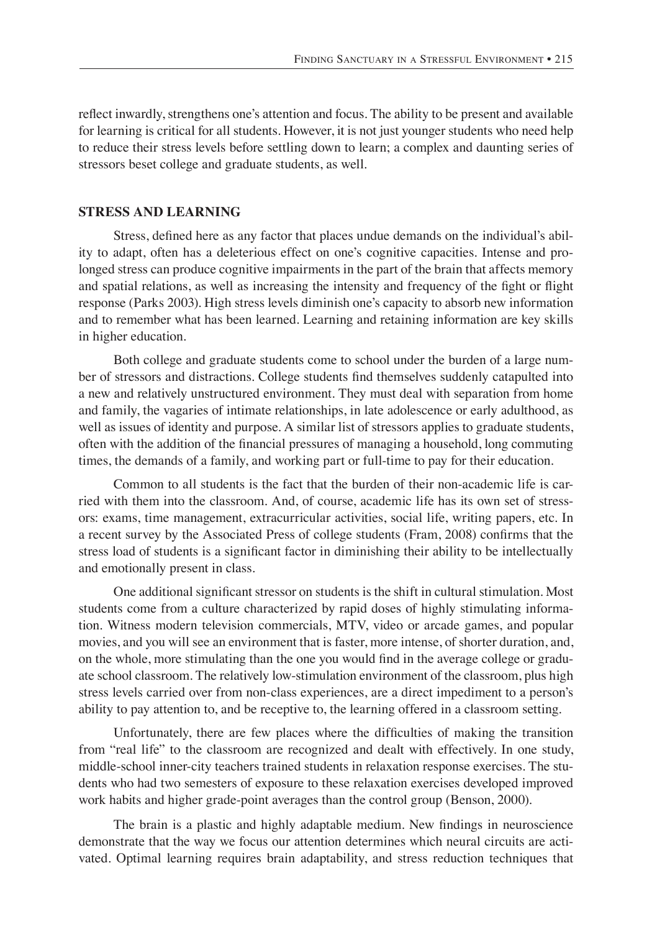reflect inwardly, strengthens one's attention and focus. The ability to be present and available for learning is critical for all students. However, it is not just younger students who need help to reduce their stress levels before settling down to learn; a complex and daunting series of stressors beset college and graduate students, as well.

### **Stress and Learning**

Stress, defined here as any factor that places undue demands on the individual's ability to adapt, often has a deleterious effect on one's cognitive capacities. Intense and prolonged stress can produce cognitive impairments in the part of the brain that affects memory and spatial relations, as well as increasing the intensity and frequency of the fight or flight response (Parks 2003). High stress levels diminish one's capacity to absorb new information and to remember what has been learned. Learning and retaining information are key skills in higher education.

Both college and graduate students come to school under the burden of a large number of stressors and distractions. College students find themselves suddenly catapulted into a new and relatively unstructured environment. They must deal with separation from home and family, the vagaries of intimate relationships, in late adolescence or early adulthood, as well as issues of identity and purpose. A similar list of stressors applies to graduate students, often with the addition of the financial pressures of managing a household, long commuting times, the demands of a family, and working part or full-time to pay for their education.

Common to all students is the fact that the burden of their non-academic life is carried with them into the classroom. And, of course, academic life has its own set of stressors: exams, time management, extracurricular activities, social life, writing papers, etc. In a recent survey by the Associated Press of college students (Fram, 2008) confirms that the stress load of students is a significant factor in diminishing their ability to be intellectually and emotionally present in class.

One additional significant stressor on students is the shift in cultural stimulation. Most students come from a culture characterized by rapid doses of highly stimulating information. Witness modern television commercials, MTV, video or arcade games, and popular movies, and you will see an environment that is faster, more intense, of shorter duration, and, on the whole, more stimulating than the one you would find in the average college or graduate school classroom. The relatively low-stimulation environment of the classroom, plus high stress levels carried over from non-class experiences, are a direct impediment to a person's ability to pay attention to, and be receptive to, the learning offered in a classroom setting.

Unfortunately, there are few places where the difficulties of making the transition from "real life" to the classroom are recognized and dealt with effectively. In one study, middle-school inner-city teachers trained students in relaxation response exercises. The students who had two semesters of exposure to these relaxation exercises developed improved work habits and higher grade-point averages than the control group (Benson, 2000).

The brain is a plastic and highly adaptable medium. New findings in neuroscience demonstrate that the way we focus our attention determines which neural circuits are activated. Optimal learning requires brain adaptability, and stress reduction techniques that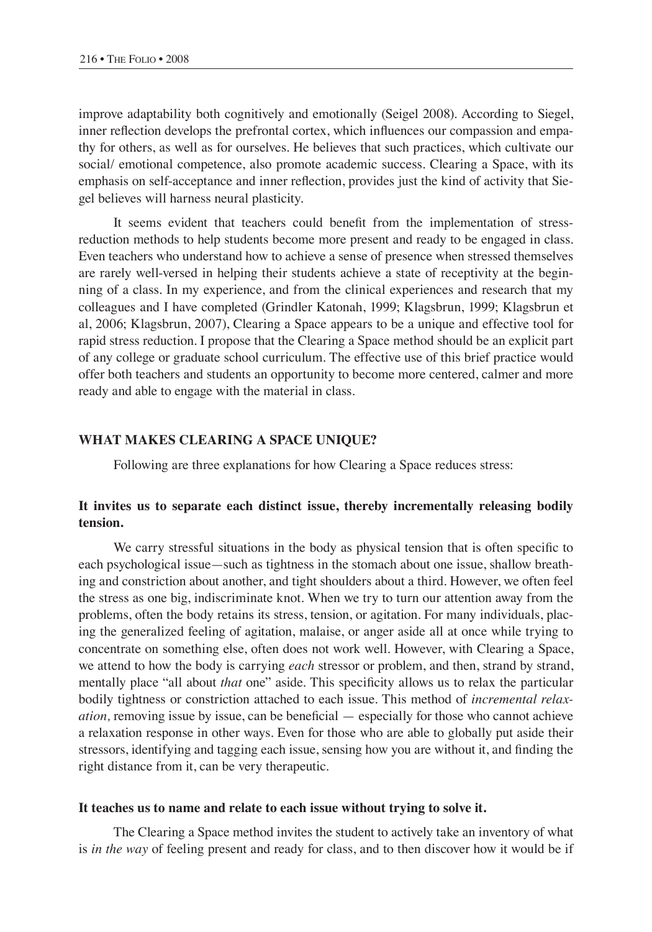improve adaptability both cognitively and emotionally (Seigel 2008). According to Siegel, inner reflection develops the prefrontal cortex, which influences our compassion and empathy for others, as well as for ourselves. He believes that such practices, which cultivate our social/ emotional competence, also promote academic success. Clearing a Space, with its emphasis on self-acceptance and inner reflection, provides just the kind of activity that Siegel believes will harness neural plasticity.

It seems evident that teachers could benefit from the implementation of stressreduction methods to help students become more present and ready to be engaged in class. Even teachers who understand how to achieve a sense of presence when stressed themselves are rarely well-versed in helping their students achieve a state of receptivity at the beginning of a class. In my experience, and from the clinical experiences and research that my colleagues and I have completed (Grindler Katonah, 1999; Klagsbrun, 1999; Klagsbrun et al, 2006; Klagsbrun, 2007), Clearing a Space appears to be a unique and effective tool for rapid stress reduction. I propose that the Clearing a Space method should be an explicit part of any college or graduate school curriculum. The effective use of this brief practice would offer both teachers and students an opportunity to become more centered, calmer and more ready and able to engage with the material in class.

#### **What Makes Clearing a Space Unique?**

Following are three explanations for how Clearing a Space reduces stress:

## **It invites us to separate each distinct issue, thereby incrementally releasing bodily tension.**

We carry stressful situations in the body as physical tension that is often specific to each psychological issue—such as tightness in the stomach about one issue, shallow breathing and constriction about another, and tight shoulders about a third. However, we often feel the stress as one big, indiscriminate knot. When we try to turn our attention away from the problems, often the body retains its stress, tension, or agitation. For many individuals, placing the generalized feeling of agitation, malaise, or anger aside all at once while trying to concentrate on something else, often does not work well. However, with Clearing a Space, we attend to how the body is carrying *each* stressor or problem, and then, strand by strand, mentally place "all about *that* one" aside. This specificity allows us to relax the particular bodily tightness or constriction attached to each issue. This method of *incremental relaxation,* removing issue by issue, can be beneficial — especially for those who cannot achieve a relaxation response in other ways. Even for those who are able to globally put aside their stressors, identifying and tagging each issue, sensing how you are without it, and finding the right distance from it, can be very therapeutic.

#### **It teaches us to name and relate to each issue without trying to solve it.**

The Clearing a Space method invites the student to actively take an inventory of what is *in the way* of feeling present and ready for class, and to then discover how it would be if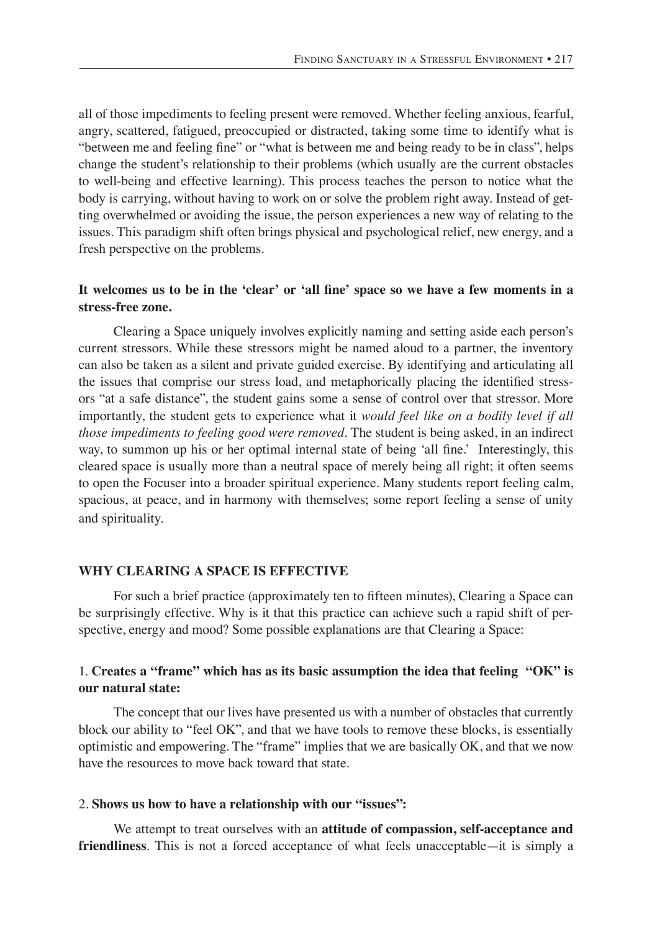all of those impediments to feeling present were removed. Whether feeling anxious, fearful, angry, scattered, fatigued, preoccupied or distracted, taking some time to identify what is "between me and feeling fine" or "what is between me and being ready to be in class", helps change the student's relationship to their problems (which usually are the current obstacles to well-being and effective learning). This process teaches the person to notice what the body is carrying, without having to work on or solve the problem right away. Instead of getting overwhelmed or avoiding the issue, the person experiences a new way of relating to the issues. This paradigm shift often brings physical and psychological relief, new energy, and a fresh perspective on the problems.

## It welcomes us to be in the 'clear' or 'all fine' space so we have a few moments in a **stress-free zone.**

Clearing a Space uniquely involves explicitly naming and setting aside each person's current stressors. While these stressors might be named aloud to a partner, the inventory can also be taken as a silent and private guided exercise. By identifying and articulating all the issues that comprise our stress load, and metaphorically placing the identified stressors "at a safe distance", the student gains some a sense of control over that stressor. More importantly, the student gets to experience what it *would feel like on a bodily level if all those impediments to feeling good were removed*. The student is being asked, in an indirect way, to summon up his or her optimal internal state of being 'all fine.' Interestingly, this cleared space is usually more than a neutral space of merely being all right; it often seems to open the Focuser into a broader spiritual experience. Many students report feeling calm, spacious, at peace, and in harmony with themselves; some report feeling a sense of unity and spirituality.

### **Why Clearing a Space is Effective**

For such a brief practice (approximately ten to fifteen minutes), Clearing a Space can be surprisingly effective. Why is it that this practice can achieve such a rapid shift of perspective, energy and mood? Some possible explanations are that Clearing a Space:

## 1. **Creates a "frame" which has as its basic assumption the idea that feeling "OK" is our natural state:**

The concept that our lives have presented us with a number of obstacles that currently block our ability to "feel OK", and that we have tools to remove these blocks, is essentially optimistic and empowering. The "frame" implies that we are basically OK, and that we now have the resources to move back toward that state.

#### 2. **Shows us how to have a relationship with our "issues":**

We attempt to treat ourselves with an **attitude of compassion, self-acceptance and friendliness**. This is not a forced acceptance of what feels unacceptable—it is simply a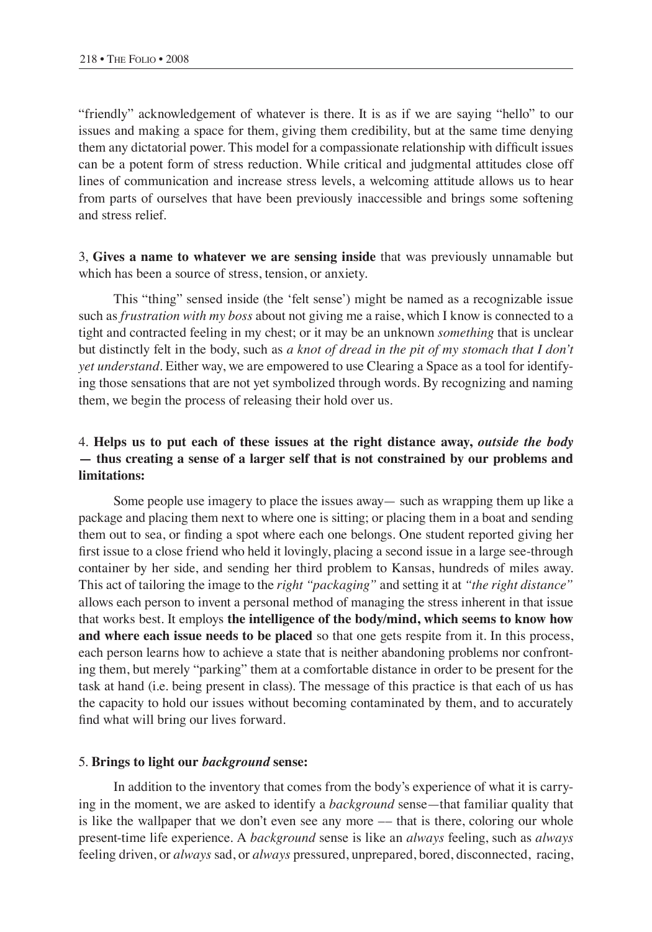"friendly" acknowledgement of whatever is there. It is as if we are saying "hello" to our issues and making a space for them, giving them credibility, but at the same time denying them any dictatorial power. This model for a compassionate relationship with difficult issues can be a potent form of stress reduction. While critical and judgmental attitudes close off lines of communication and increase stress levels, a welcoming attitude allows us to hear from parts of ourselves that have been previously inaccessible and brings some softening and stress relief.

3, **Gives a name to whatever we are sensing inside** that was previously unnamable but which has been a source of stress, tension, or anxiety.

This "thing" sensed inside (the 'felt sense') might be named as a recognizable issue such as *frustration with my boss* about not giving me a raise, which I know is connected to a tight and contracted feeling in my chest; or it may be an unknown *something* that is unclear but distinctly felt in the body, such as *a knot of dread in the pit of my stomach that I don't yet understand*. Either way, we are empowered to use Clearing a Space as a tool for identifying those sensations that are not yet symbolized through words. By recognizing and naming them, we begin the process of releasing their hold over us.

# 4. **Helps us to put each of these issues at the right distance away,** *outside the body* **— thus creating a sense of a larger self that is not constrained by our problems and limitations:**

Some people use imagery to place the issues away— such as wrapping them up like a package and placing them next to where one is sitting; or placing them in a boat and sending them out to sea, or finding a spot where each one belongs. One student reported giving her first issue to a close friend who held it lovingly, placing a second issue in a large see-through container by her side, and sending her third problem to Kansas, hundreds of miles away. This act of tailoring the image to the *right "packaging"* and setting it at *"the right distance"*  allows each person to invent a personal method of managing the stress inherent in that issue that works best. It employs **the intelligence of the body/mind, which seems to know how and where each issue needs to be placed** so that one gets respite from it. In this process, each person learns how to achieve a state that is neither abandoning problems nor confronting them, but merely "parking" them at a comfortable distance in order to be present for the task at hand (i.e. being present in class). The message of this practice is that each of us has the capacity to hold our issues without becoming contaminated by them, and to accurately find what will bring our lives forward.

#### 5. **Brings to light our** *background* **sense:**

In addition to the inventory that comes from the body's experience of what it is carrying in the moment, we are asked to identify a *background* sense—that familiar quality that is like the wallpaper that we don't even see any more –– that is there, coloring our whole present-time life experience. A *background* sense is like an *always* feeling, such as *always* feeling driven, or *always* sad, or *always* pressured, unprepared, bored, disconnected, racing,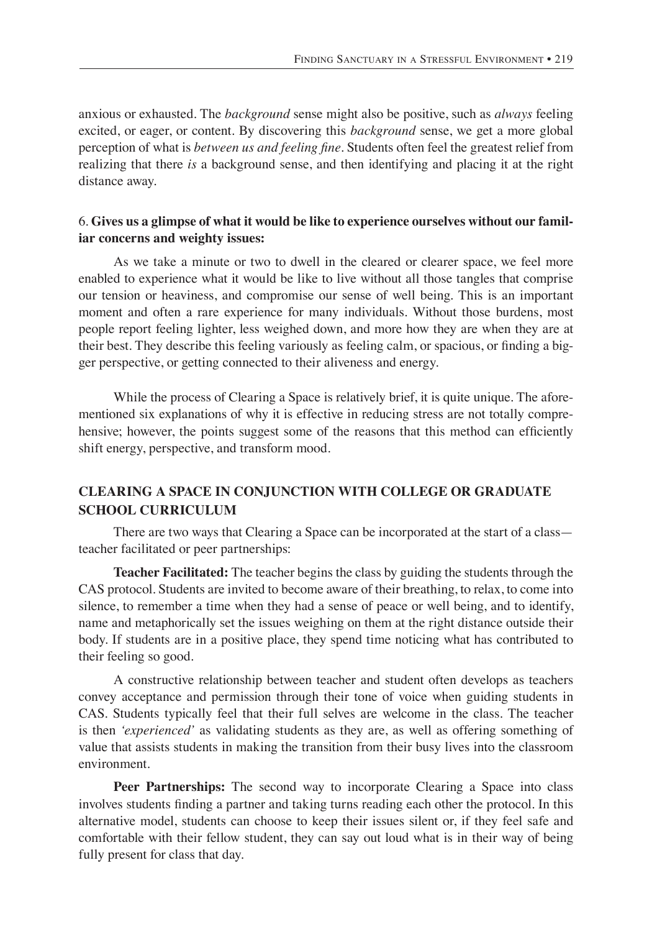anxious or exhausted. The *background* sense might also be positive, such as *always* feeling excited, or eager, or content. By discovering this *background* sense, we get a more global perception of what is *between us and feeling fine.* Students often feel the greatest relief from realizing that there *is* a background sense, and then identifying and placing it at the right distance away.

## 6. **Gives us a glimpse of what it would be like to experience ourselves without our familiar concerns and weighty issues:**

As we take a minute or two to dwell in the cleared or clearer space, we feel more enabled to experience what it would be like to live without all those tangles that comprise our tension or heaviness, and compromise our sense of well being. This is an important moment and often a rare experience for many individuals. Without those burdens, most people report feeling lighter, less weighed down, and more how they are when they are at their best. They describe this feeling variously as feeling calm, or spacious, or finding a bigger perspective, or getting connected to their aliveness and energy.

While the process of Clearing a Space is relatively brief, it is quite unique. The aforementioned six explanations of why it is effective in reducing stress are not totally comprehensive; however, the points suggest some of the reasons that this method can efficiently shift energy, perspective, and transform mood.

# **Clearing a Space in Conjunction with College or Graduate School Curriculum**

There are two ways that Clearing a Space can be incorporated at the start of a class teacher facilitated or peer partnerships:

**Teacher Facilitated:** The teacher begins the class by guiding the students through the CAS protocol. Students are invited to become aware of their breathing, to relax, to come into silence, to remember a time when they had a sense of peace or well being, and to identify, name and metaphorically set the issues weighing on them at the right distance outside their body. If students are in a positive place, they spend time noticing what has contributed to their feeling so good.

A constructive relationship between teacher and student often develops as teachers convey acceptance and permission through their tone of voice when guiding students in CAS. Students typically feel that their full selves are welcome in the class. The teacher is then *'experienced'* as validating students as they are, as well as offering something of value that assists students in making the transition from their busy lives into the classroom environment.

**Peer Partnerships:** The second way to incorporate Clearing a Space into class involves students finding a partner and taking turns reading each other the protocol. In this alternative model, students can choose to keep their issues silent or, if they feel safe and comfortable with their fellow student, they can say out loud what is in their way of being fully present for class that day.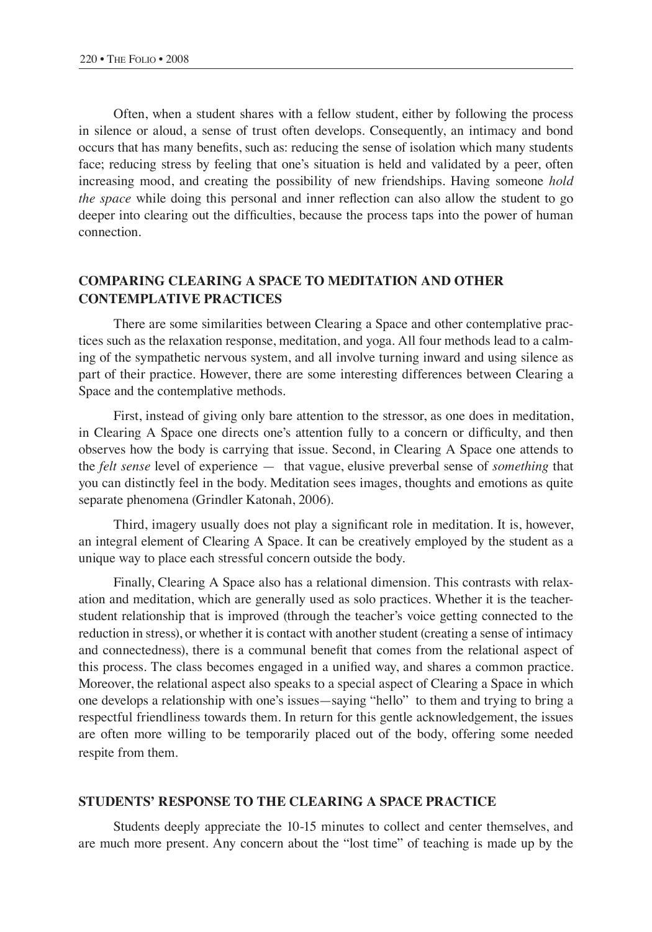Often, when a student shares with a fellow student, either by following the process in silence or aloud, a sense of trust often develops. Consequently, an intimacy and bond occurs that has many benefits, such as: reducing the sense of isolation which many students face; reducing stress by feeling that one's situation is held and validated by a peer, often increasing mood, and creating the possibility of new friendships. Having someone *hold the space* while doing this personal and inner reflection can also allow the student to go deeper into clearing out the difficulties, because the process taps into the power of human connection.

# **Comparing Clearing a Space to Meditation and Other Contemplative Practices**

There are some similarities between Clearing a Space and other contemplative practices such as the relaxation response, meditation, and yoga. All four methods lead to a calming of the sympathetic nervous system, and all involve turning inward and using silence as part of their practice. However, there are some interesting differences between Clearing a Space and the contemplative methods.

First, instead of giving only bare attention to the stressor, as one does in meditation, in Clearing A Space one directs one's attention fully to a concern or difficulty, and then observes how the body is carrying that issue. Second, in Clearing A Space one attends to the *felt sense* level of experience — that vague, elusive preverbal sense of *something* that you can distinctly feel in the body. Meditation sees images, thoughts and emotions as quite separate phenomena (Grindler Katonah, 2006).

Third, imagery usually does not play a significant role in meditation. It is, however, an integral element of Clearing A Space. It can be creatively employed by the student as a unique way to place each stressful concern outside the body.

Finally, Clearing A Space also has a relational dimension. This contrasts with relaxation and meditation, which are generally used as solo practices. Whether it is the teacherstudent relationship that is improved (through the teacher's voice getting connected to the reduction in stress), or whether it is contact with another student (creating a sense of intimacy and connectedness), there is a communal benefit that comes from the relational aspect of this process. The class becomes engaged in a unified way, and shares a common practice. Moreover, the relational aspect also speaks to a special aspect of Clearing a Space in which one develops a relationship with one's issues—saying "hello" to them and trying to bring a respectful friendliness towards them. In return for this gentle acknowledgement, the issues are often more willing to be temporarily placed out of the body, offering some needed respite from them.

### **Students' Response To The Clearing A Space Practice**

Students deeply appreciate the 10-15 minutes to collect and center themselves, and are much more present. Any concern about the "lost time" of teaching is made up by the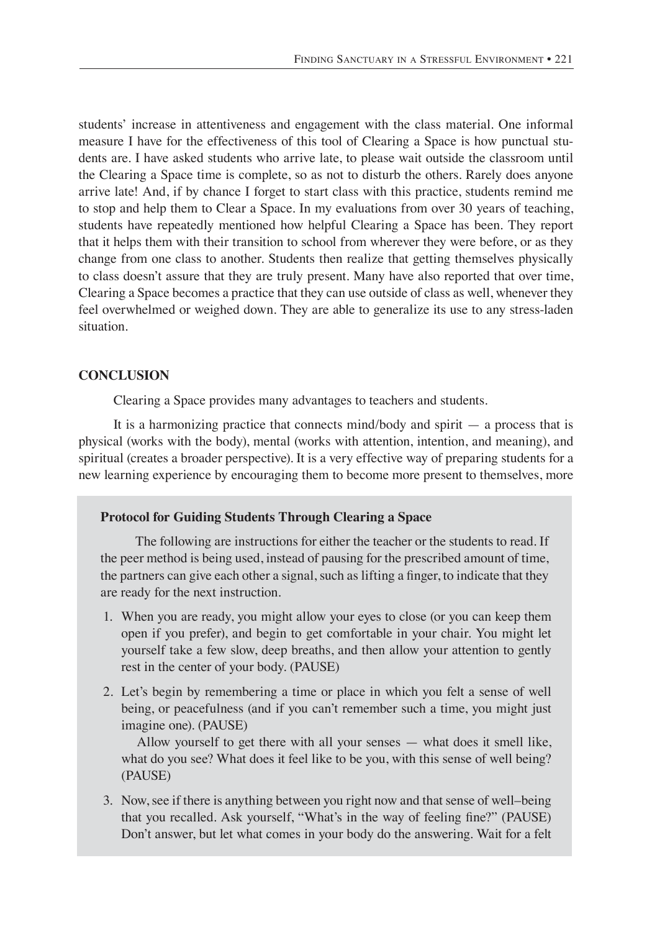students' increase in attentiveness and engagement with the class material. One informal measure I have for the effectiveness of this tool of Clearing a Space is how punctual students are. I have asked students who arrive late, to please wait outside the classroom until the Clearing a Space time is complete, so as not to disturb the others. Rarely does anyone arrive late! And, if by chance I forget to start class with this practice, students remind me to stop and help them to Clear a Space. In my evaluations from over 30 years of teaching, students have repeatedly mentioned how helpful Clearing a Space has been. They report that it helps them with their transition to school from wherever they were before, or as they change from one class to another. Students then realize that getting themselves physically to class doesn't assure that they are truly present. Many have also reported that over time, Clearing a Space becomes a practice that they can use outside of class as well, whenever they feel overwhelmed or weighed down. They are able to generalize its use to any stress-laden situation.

## **Conclusion**

Clearing a Space provides many advantages to teachers and students.

It is a harmonizing practice that connects mind/body and spirit — a process that is physical (works with the body), mental (works with attention, intention, and meaning), and spiritual (creates a broader perspective). It is a very effective way of preparing students for a new learning experience by encouraging them to become more present to themselves, more

## **Protocol for Guiding Students Through Clearing a Space**

The following are instructions for either the teacher or the students to read. If the peer method is being used, instead of pausing for the prescribed amount of time, the partners can give each other a signal, such as lifting a finger, to indicate that they are ready for the next instruction.

- 1. When you are ready, you might allow your eyes to close (or you can keep them open if you prefer), and begin to get comfortable in your chair. You might let yourself take a few slow, deep breaths, and then allow your attention to gently rest in the center of your body. (PAUSE)
- 2. Let's begin by remembering a time or place in which you felt a sense of well being, or peacefulness (and if you can't remember such a time, you might just imagine one). (PAUSE)

 Allow yourself to get there with all your senses — what does it smell like, what do you see? What does it feel like to be you, with this sense of well being? (PAUSE)

3. Now, see if there is anything between you right now and that sense of well–being that you recalled. Ask yourself, "What's in the way of feeling fine?" (PAUSE) Don't answer, but let what comes in your body do the answering. Wait for a felt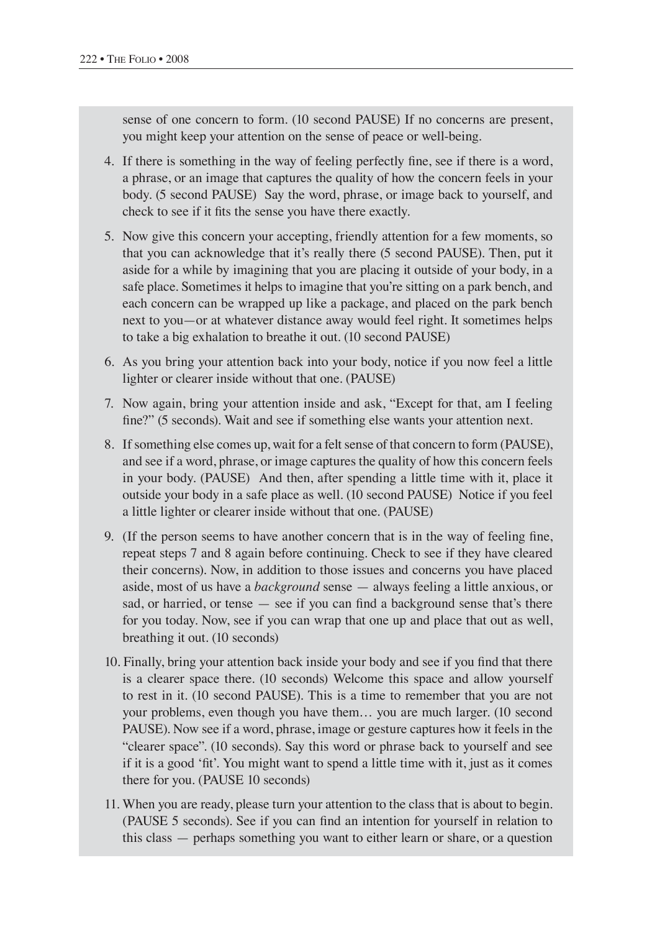sense of one concern to form. (10 second PAUSE) If no concerns are present, you might keep your attention on the sense of peace or well-being.

- 4. If there is something in the way of feeling perfectly fine, see if there is a word, a phrase, or an image that captures the quality of how the concern feels in your body. (5 second PAUSE) Say the word, phrase, or image back to yourself, and check to see if it fits the sense you have there exactly.
- 5. Now give this concern your accepting, friendly attention for a few moments, so that you can acknowledge that it's really there (5 second PAUSE). Then, put it aside for a while by imagining that you are placing it outside of your body, in a safe place. Sometimes it helps to imagine that you're sitting on a park bench, and each concern can be wrapped up like a package, and placed on the park bench next to you—or at whatever distance away would feel right. It sometimes helps to take a big exhalation to breathe it out. (10 second PAUSE)
- 6. As you bring your attention back into your body, notice if you now feel a little lighter or clearer inside without that one. (PAUSE)
- 7. Now again, bring your attention inside and ask, "Except for that, am I feeling fine?" (5 seconds). Wait and see if something else wants your attention next.
- 8. If something else comes up, wait for a felt sense of that concern to form (PAUSE), and see if a word, phrase, or image captures the quality of how this concern feels in your body. (PAUSE) And then, after spending a little time with it, place it outside your body in a safe place as well. (10 second PAUSE) Notice if you feel a little lighter or clearer inside without that one. (PAUSE)
- 9. (If the person seems to have another concern that is in the way of feeling fine, repeat steps 7 and 8 again before continuing. Check to see if they have cleared their concerns). Now, in addition to those issues and concerns you have placed aside, most of us have a *background* sense — always feeling a little anxious, or sad, or harried, or tense — see if you can find a background sense that's there for you today. Now, see if you can wrap that one up and place that out as well, breathing it out. (10 seconds)
- 10. Finally, bring your attention back inside your body and see if you find that there is a clearer space there. (10 seconds) Welcome this space and allow yourself to rest in it. (10 second PAUSE). This is a time to remember that you are not your problems, even though you have them… you are much larger. (10 second PAUSE). Now see if a word, phrase, image or gesture captures how it feels in the "clearer space". (10 seconds). Say this word or phrase back to yourself and see if it is a good 'fit'. You might want to spend a little time with it, just as it comes there for you. (PAUSE 10 seconds)
- 11. When you are ready, please turn your attention to the class that is about to begin. (PAUSE 5 seconds). See if you can find an intention for yourself in relation to this class — perhaps something you want to either learn or share, or a question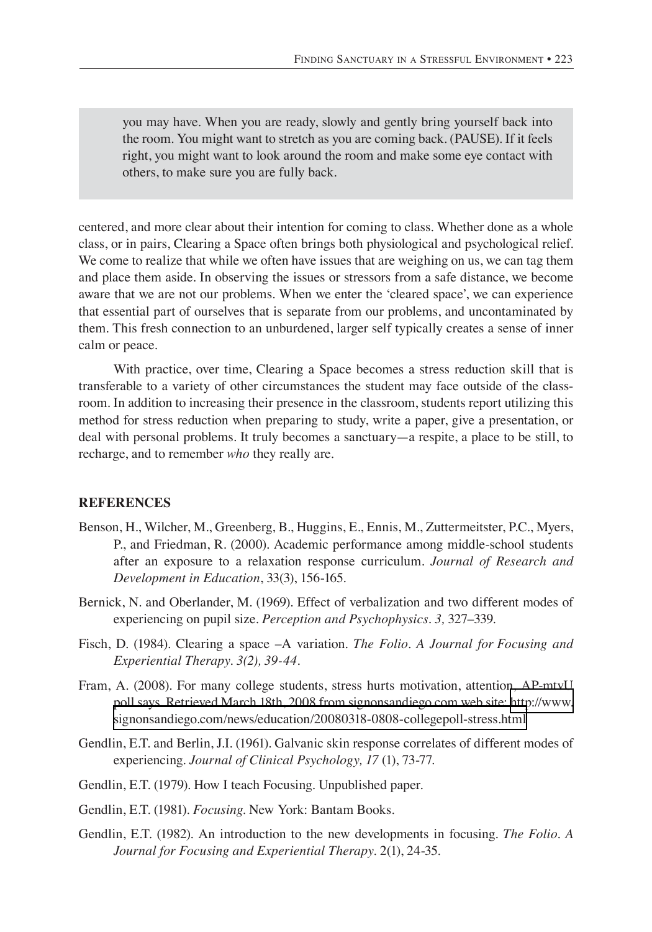you may have. When you are ready, slowly and gently bring yourself back into the room. You might want to stretch as you are coming back. (PAUSE). If it feels right, you might want to look around the room and make some eye contact with others, to make sure you are fully back.

centered, and more clear about their intention for coming to class. Whether done as a whole class, or in pairs, Clearing a Space often brings both physiological and psychological relief. We come to realize that while we often have issues that are weighing on us, we can tag them and place them aside. In observing the issues or stressors from a safe distance, we become aware that we are not our problems. When we enter the 'cleared space', we can experience that essential part of ourselves that is separate from our problems, and uncontaminated by them. This fresh connection to an unburdened, larger self typically creates a sense of inner calm or peace.

With practice, over time, Clearing a Space becomes a stress reduction skill that is transferable to a variety of other circumstances the student may face outside of the classroom. In addition to increasing their presence in the classroom, students report utilizing this method for stress reduction when preparing to study, write a paper, give a presentation, or deal with personal problems. It truly becomes a sanctuary—a respite, a place to be still, to recharge, and to remember *who* they really are.

### **REFERENCES**

- Benson, H., Wilcher, M., Greenberg, B., Huggins, E., Ennis, M., Zuttermeitster, P.C., Myers, P., and Friedman, R. (2000). Academic performance among middle-school students after an exposure to a relaxation response curriculum. *Journal of Research and Development in Education*, 33(3), 156-165.
- Bernick, N. and Oberlander, M. (1969). Effect of verbalization and two different modes of experiencing on pupil size. *Perception and Psychophysics. 3,* 327–339.
- Fisch, D. (1984). Clearing a space –A variation. *The Folio. A Journal for Focusing and Experiential Therapy. 3(2), 39-44.*
- Fram, A. (2008). For many college students, stress hurts motivation, attention, AP-mtvU poll says. Retrieved March 18th, 2008 from signonsandiego.com web site: [http://www.](http://www.signonsandiego.com/news/education/20080318-0808-collegepoll-stress.html) [signonsandiego.com/news/education/20080318-0808-collegepoll-stress.html](http://www.signonsandiego.com/news/education/20080318-0808-collegepoll-stress.html)
- Gendlin, E.T. and Berlin, J.I. (1961). Galvanic skin response correlates of different modes of experiencing. *Journal of Clinical Psychology, 17* (1), 73-77.
- Gendlin, E.T. (1979). How I teach Focusing. Unpublished paper.
- Gendlin, E.T. (1981). *Focusing*. New York: Bantam Books.
- Gendlin, E.T. (1982). An introduction to the new developments in focusing. *The Folio. A Journal for Focusing and Experiential Therapy.* 2(1), 24-35.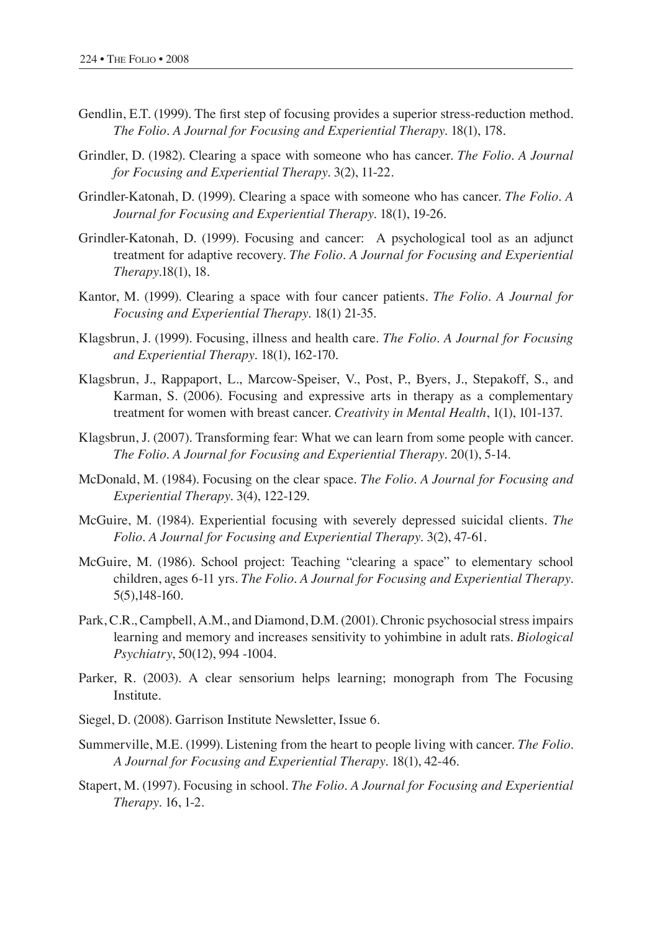- Gendlin, E.T. (1999). The first step of focusing provides a superior stress-reduction method. *The Folio. A Journal for Focusing and Experiential Therapy.* 18(1), 178.
- Grindler, D. (1982). Clearing a space with someone who has cancer. *The Folio. A Journal for Focusing and Experiential Therapy.* 3(2), 11-22.
- Grindler-Katonah, D. (1999). Clearing a space with someone who has cancer. *The Folio. A Journal for Focusing and Experiential Therapy.* 18(1), 19-26.
- Grindler-Katonah, D. (1999). Focusing and cancer: A psychological tool as an adjunct treatment for adaptive recovery. *The Folio. A Journal for Focusing and Experiential Therapy.*18(1), 18.
- Kantor, M. (1999). Clearing a space with four cancer patients. *The Folio. A Journal for Focusing and Experiential Therapy.* 18(1) 21-35.
- Klagsbrun, J. (1999). Focusing, illness and health care. *The Folio. A Journal for Focusing and Experiential Therapy.* 18(1), 162-170.
- Klagsbrun, J., Rappaport, L., Marcow-Speiser, V., Post, P., Byers, J., Stepakoff, S., and Karman, S. (2006). Focusing and expressive arts in therapy as a complementary treatment for women with breast cancer. *Creativity in Mental Health*, 1(1), 101-137.
- Klagsbrun, J. (2007). Transforming fear: What we can learn from some people with cancer. *The Folio*. *A Journal for Focusing and Experiential Therapy.* 20(1), 5-14.
- McDonald, M. (1984). Focusing on the clear space. *The Folio. A Journal for Focusing and Experiential Therapy.* 3(4), 122-129.
- McGuire, M. (1984). Experiential focusing with severely depressed suicidal clients. *The Folio. A Journal for Focusing and Experiential Therapy.* 3(2), 47-61.
- McGuire, M. (1986). School project: Teaching "clearing a space" to elementary school children, ages 6-11 yrs. *The Folio. A Journal for Focusing and Experiential Therapy.* 5(5),148-160.
- Park, C.R., Campbell, A.M., and Diamond, D.M. (2001). Chronic psychosocial stress impairs learning and memory and increases sensitivity to yohimbine in adult rats. *Biological Psychiatry*, 50(12), 994 -1004.
- Parker, R. (2003). A clear sensorium helps learning; monograph from The Focusing Institute.
- Siegel, D. (2008). Garrison Institute Newsletter, Issue 6.
- Summerville, M.E. (1999). Listening from the heart to people living with cancer. *The Folio. A Journal for Focusing and Experiential Therapy.* 18(1), 42-46.
- Stapert, M. (1997). Focusing in school. *The Folio. A Journal for Focusing and Experiential Therapy.* 16, 1-2.